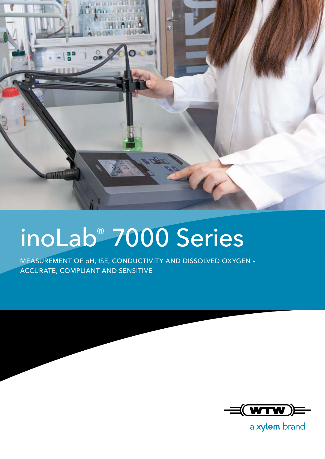

## inoLab® 7000 Series

MEASUREMENT OF pH, ISE, CONDUCTIVITY AND DISSOLVED OXYGEN – ACCURATE, COMPLIANT AND SENSITIVE



a xylem brand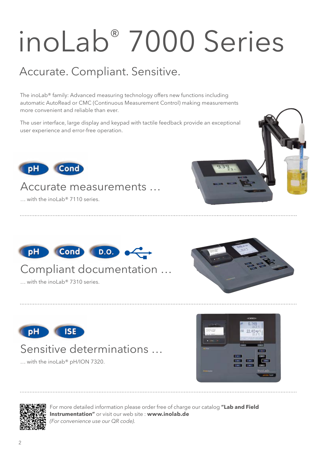# inoLab® 7000 Series

## Accurate. Compliant. Sensitive.

The inoLab® family: Advanced measuring technology offers new functions including automatic AutoRead or CMC (Continuous Measurement Control) making measurements more convenient and reliable than ever.

The user interface, large display and keypad with tactile feedback provide an exceptional user experience and error-free operation.



### Accurate measurements …

… with the inoLab® 7110 series.



### Compliant documentation …

 $\ldots$  with the inol ab® 7310 series.





### Sensitive determinations …

… with the inoLab® pH/ION 7320.





For more detailed information please order free of charge our catalog **"Lab and Field Instrumentation"** or visit our web site : **www.inolab.de**  *(For convenience use our QR code)*.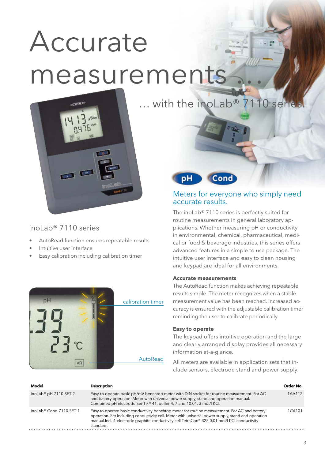## Accurate measurements

… with the inoLab® 7110 series.



inoLab® 7110 series

- AutoRead function ensures repeatable results
- Intuitive user interface
- Easy calibration including calibration timer



Cond рH

#### Meters for everyone who simply need accurate results.

The inoLab® 7110 series is perfectly suited for routine measurements in general laboratory applications. Whether measuring pH or conductivity in environmental, chemical, pharmaceutical, medical or food & beverage industries, this series offers advanced features in a simple to use package. The intuitive user interface and easy to clean housing and keypad are ideal for all environments.

#### **Accurate measurements**

The AutoRead function makes achieving repeatable results simple. The meter recognizes when a stable measurement value has been reached. Increased accuracy is ensured with the adjustable calibration timer reminding the user to calibrate periodically.

#### **Easy to operate**

The keypad offers intuitive operation and the large and clearly arranged display provides all necessary information at-a-glance.

All meters are available in application sets that include sensors, electrode stand and power supply.

| Model                               | <b>Description</b>                                                                                                                                                                                                                                                                                                | Order No. |
|-------------------------------------|-------------------------------------------------------------------------------------------------------------------------------------------------------------------------------------------------------------------------------------------------------------------------------------------------------------------|-----------|
| inoLab <sup>®</sup> pH 7110 SET 2   | Easy-to-operate basic pH/mV benchtop meter with DIN socket for routine measurement. For AC<br>and battery operation. Meter with universal power supply, stand and operation manual.<br>Combined pH electrode SenTix® 41, buffer 4, 7 and 10.01, 3 mol/l KCl.                                                      | 1AA112    |
| inoLab <sup>®</sup> Cond 7110 SET 1 | Easy-to-operate basic conductivity benchtop meter for routine measurement. For AC and battery<br>operation. Set including conductivity cell. Meter with universal power supply, stand and operation<br>manual.Incl. 4-electrode graphite conductivity cell TetraCon® 325,0,01 mol/l KCl conductivity<br>standard. | 1CA101    |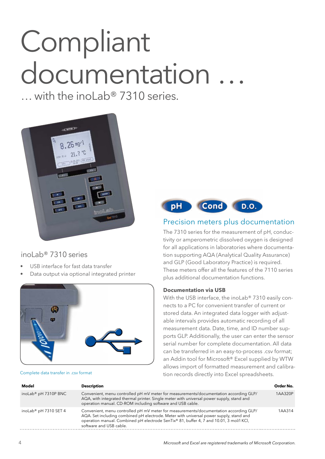## Compliant documentation …

… with the inoLab® 7310 series.



#### inoLab® 7310 series

- USB interface for fast data transfer
- Data output via optional integrated printer





#### Precision meters plus documentation

The 7310 series for the measurement of pH, conductivity or amperometric dissolved oxygen is designed for all applications in laboratories where documentation supporting AQA (Analytical Quality Assurance) and GLP (Good Laboratory Practice) is required. These meters offer all the features of the 7110 series plus additional documentation functions.

#### **Documentation via USB**

With the USB interface, the inoLab® 7310 easily connects to a PC for convenient transfer of current or stored data. An integrated data logger with adjustable intervals provides automatic recording of all measurement data. Date, time, and ID number supports GLP. Additionally, the user can enter the sensor serial number for complete documentation. All data can be transferred in an easy-to-process .csv format; an Addin tool for Microsoft® Excel supplied by WTW allows import of formatted measurement and calibration records directly into Excel spreadsheets. Complete data transfer in .csv format

| Model                             | <b>Description</b>                                                                                                                                                                                                                                                                                    | Order No. |
|-----------------------------------|-------------------------------------------------------------------------------------------------------------------------------------------------------------------------------------------------------------------------------------------------------------------------------------------------------|-----------|
| inoLab <sup>®</sup> pH 7310P BNC  | Convenient, menu controlled pH mV meter for measurements/documentation according GLP/<br>AQA, with integrated thermal printer. Single meter with universal power supply, stand and<br>operation manual. CD-ROM including software and USB cable.                                                      | 1AA320P   |
| inoLab <sup>®</sup> pH 7310 SET 4 | Convenient, menu controlled pH mV meter for measurements/documentation according GLP/<br>AQA. Set including combined pH electrode. Meter with universal power supply, stand and<br>operation manual. Combined pH electrode SenTix® 81, buffer 4, 7 and 10.01, 3 mol/l KCl,<br>software and USB cable. | 1AA314    |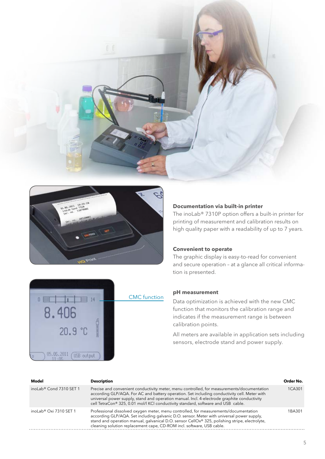



#### **Documentation via built-in printer**

The inoLab® 7310P option offers a built-in printer for printing of measurement and calibration results on high quality paper with a readability of up to 7 years.

#### **Convenient to operate**

The graphic display is easy-to-read for convenient and secure operation – at a glance all critical information is presented.



#### **pH measurement**

Data optimization is achieved with the new CMC function that monitors the calibration range and indicates if the measurement range is between calibration points.

All meters are available in application sets including sensors, electrode stand and power supply.

**Model Description Order No.** inoLab® Cond 7310 SET 1 Precise and convenient conductivity meter, menu controlled, for measurements/documentation according GLP/AQA. For AC and battery operation. Set including conductivity cell. Meter with universal power supply, stand and operation manual. Incl. 4-electrode graphite conductivity cell TetraCon® 325, 0.01 mol/l KCl conductivity standard, software and USB cable. 1CA301 inoLab® Oxi 7310 SET 1 Professional dissolved oxygen meter, menu controlled, for measurements/documentation according GLP/AQA. Set including galvanic D.O. sensor. Meter with universal power supply, stand and operation manual, galvanical D.O. sensor CellOx® 325, polishing stripe, electrolyte, cleaning solution replacement cape, CD-ROM incl. software, USB cable. 1BA301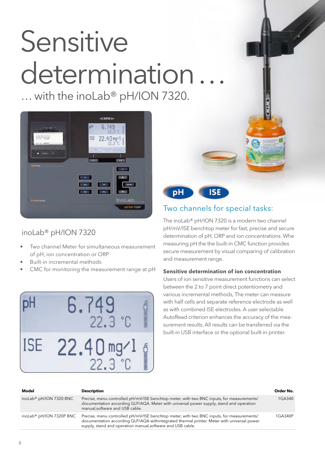## Sensitive determination

… with the inoLab® pH/ION 7320.



#### inoLab® pH/ION 7320

- Two channel Meter for simultaneous measurement of pH, ion concentration or ORP
- Built-in incremental methods
- CMC for monitoring the measurement range at pH





### Two channels for special tasks:

The inoLab® pH/ION 7320 is a modern two channel pH/mV/ISE benchtop meter for fast, precise and secure determination of pH, ORP and ion concentrations. Whe measuring pH the the built-in CMC function provides secure measurement by visual comparing of calibration and measurement range.

#### **Sensitive determination of ion concentration**

Users of ion sensitive measurement functions can select between the 2 to 7 point direct potentiometry and various incremental methods, The meter can measure with half cells and separate reference electrode as well as with combined ISE electrodes. A user selectable AutoRead criterion enhances the accuracy of the measurement results. All results can be transferred via the built-in USB interface or the optional built-in printer.

| Model                                | <b>Description</b>                                                                                                                                                                                                                                     | Order No. |
|--------------------------------------|--------------------------------------------------------------------------------------------------------------------------------------------------------------------------------------------------------------------------------------------------------|-----------|
| inoLab <sup>®</sup> pH/ION 7320 BNC  | Precise, menu controlled pH/mV/ISE benchtop meter, with two BNC inputs, for measurements/<br>documentation according GLP/AQA. Meter with universal power supply, stand and operation<br>manual, software and USB cable.                                | 1GA340    |
| inoLab <sup>®</sup> pH/ION 7320P BNC | Precise, menu controlled pH/mV/ISE benchtop meter, with two BNC inputs, for measurements/<br>documentation according GLP/AQA withintegrated thermal printer. Meter with universal power<br>supply, stand and operation manual, software and USB cable. | 1GA340P   |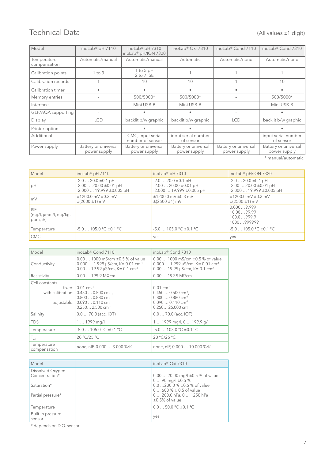#### Technical Data (All values ±1 digit)

| Model                       | inoLab® pH 7110                      | inoLab <sup>®</sup> pH 7310<br>inoLab <sup>®</sup> pH/ION 7320 | inoLab <sup>®</sup> Oxi 7310         | inoLab <sup>®</sup> Cond 7110        | inoLab <sup>®</sup> Cond 7310        |
|-----------------------------|--------------------------------------|----------------------------------------------------------------|--------------------------------------|--------------------------------------|--------------------------------------|
| Temperature<br>compensation | Automatic/manual                     | Automatic/manual                                               | Automatic                            | Automatic/none                       | Automatic/none                       |
| Calibration points          | $1$ to $3$                           | 1 to 5 $pH$<br>2 to 7 ISE                                      |                                      |                                      |                                      |
| Calibration records         |                                      | 10                                                             | 10                                   |                                      | 10                                   |
| Calibration timer           |                                      |                                                                |                                      |                                      |                                      |
| Memory entries              |                                      | 500/5000*                                                      | 500/5000*                            |                                      | 500/5000*                            |
| Interface                   |                                      | Mini USB-B                                                     | Mini USB-B                           |                                      | Mini USB-B                           |
| GLP/AQA supporting          |                                      |                                                                |                                      |                                      |                                      |
| Display                     | <b>LCD</b>                           | backlit b/w graphic                                            | backlit b/w graphic                  | <b>LCD</b>                           | backlit b/w graphic                  |
| Printer option              | $\overline{\phantom{a}}$             |                                                                |                                      |                                      |                                      |
| Additional                  |                                      | CMC, input serial<br>number of sensor                          | input serial number<br>of sensor     |                                      | input serial number<br>of sensor     |
| Power supply                | Battery or universal<br>power supply | Battery or universal<br>power supply                           | Battery or universal<br>power supply | Battery or universal<br>power supply | Battery or universal<br>power supply |

\* manual/automatic

| Model                                                           | inoLab <sup>®</sup> pH 7110                                                                    | inoLab <sup>®</sup> pH 7310                                                                    | inoLab <sup>®</sup> pH/ION 7320                                                             |
|-----------------------------------------------------------------|------------------------------------------------------------------------------------------------|------------------------------------------------------------------------------------------------|---------------------------------------------------------------------------------------------|
| pH                                                              | $-2.0$ 20.0 $\pm$ 0.1 pH<br>$-2.00$ 20.00 $\pm$ 0.01 pH<br>$-2.00019.999 \pm 0.005 \text{ pH}$ | $-2.0$ 20.0 $\pm$ 0.1 pH<br>$-2.00$ 20.00 $\pm 0.01$ pH<br>$-2.00019.999 \pm 0.005 \text{ pH}$ | $-2.0$ 20.0 $\pm$ 0.1 pH<br>$-2.0020.00 \pm 0.01 \text{ pH}$<br>$-2.00019.999 \pm 0.005$ pH |
| $\mathsf{m}\vee$                                                | $±1200.0$ mV $±0.3$ mV<br>$\pm(2000 \pm 1)$ mV                                                 | $±1200.0$ mV $±0.3$ mV<br>$\pm(2500 \pm 1)$ mV                                                 | $±1200.0$ mV $±0.3$ mV<br>$\pm(2500 \pm 1)$ mV                                              |
| <b>ISE</b><br>$\frac{1}{2}$ (mg/l, µmol/l, mg/kg,<br>ppm, $%$ ) |                                                                                                |                                                                                                | 0.0009.999<br>10.0099.99<br>100.0999.9<br>1000999999                                        |
| Temperature                                                     | $-5.0$ 105.0 °C $\pm$ 0.1 °C                                                                   | $-5.0$ 105.0 °C $\pm$ 0.1 °C                                                                   | $-5.0$ 105.0 °C $\pm$ 0.1 °C                                                                |
| <b>CMC</b>                                                      |                                                                                                | yes                                                                                            | yes                                                                                         |

| Model                         | inoLab <sup>®</sup> Cond 7110                                                                                                                                                                       | inoLab <sup>®</sup> Cond 7310                                                                                                                                  |
|-------------------------------|-----------------------------------------------------------------------------------------------------------------------------------------------------------------------------------------------------|----------------------------------------------------------------------------------------------------------------------------------------------------------------|
| Conductivity                  | $0.001000$ mS/cm $\pm 0.5$ % of value<br>$0.000$ 1.999 µS/cm, K= 0.01 cm <sup>-1</sup><br>$0.00$ 19.99 µS/cm, K= 0.1 cm <sup>-1</sup>                                                               | $0.001000$ mS/cm $\pm 0.5$ % of value<br>$0.000$ 1.999 µS/cm, K= 0.01 cm <sup>-1</sup><br>$0.00$ 19.99 µS/cm, K= 0.1 cm <sup>-1</sup>                          |
| Resistivity                   | $0.00$ 199.9 M $\Omega$ cm                                                                                                                                                                          | $0.00$ 199.9 M $\Omega$ cm                                                                                                                                     |
| Cell constants<br>adjustable: | fixed: $0.01$ cm <sup>-1</sup><br>with calibration: $\vert 0.450 \ldots 0.500 \text{ cm}^{-1}$ ,<br>$0.8000.880$ cm <sup>-1</sup><br>$0.0900.110$ cm <sup>-1</sup><br>$0.2502.500$ cm <sup>-1</sup> | $0.01$ cm <sup>-1</sup><br>$0.4500.500$ cm <sup>-1</sup> .<br>$0.8000.880$ cm <sup>-1</sup><br>$0.0900.110$ cm <sup>-1</sup><br>$0.25025.000$ cm <sup>-1</sup> |
| Salinity                      | $0.070.0$ (acc. IOT)                                                                                                                                                                                | $0.070.0$ (acc. IOT)                                                                                                                                           |
| <b>TDS</b>                    | $11999$ mg/l                                                                                                                                                                                        | 1  1999 mg/l, 0  199.9 g/l                                                                                                                                     |
| Temperature                   | $-5.0$ 105.0 °C $\pm$ 0.1 °C                                                                                                                                                                        | $-5.0$ 105.0 °C $\pm$ 0.1 °C                                                                                                                                   |
| $T_{\rm ref}$                 | 20 °C/25 °C                                                                                                                                                                                         | 20 °C/25 °C                                                                                                                                                    |
| Temperature<br>compensation   | none, nIF, 0.000  3.000 %/K                                                                                                                                                                         | none, nlF, 0.000  10.000 %/K                                                                                                                                   |

| Model                              | inoLab <sup>®</sup> Oxi 7310                                     |
|------------------------------------|------------------------------------------------------------------|
| Dissolved Oxygen<br>Concentration* | $0.00$ 20.00 mg/l $\pm 0.5$ % of value<br>$090$ mg/l $\pm 0.5$ % |
| Saturation*                        | $0.0$ 200.0 % $\pm 0.5$ % of value<br>$0600\% \pm 0.5$ of value  |
| Partial pressure*                  | 0  200.0 hPa, 0  1250 hPa<br>$\pm 0.5\%$ of value                |
| Temperature                        | $0.050.0$ °C $\pm 0.1$ °C                                        |
| Built-in pressure<br>sensor        | yes                                                              |

\* depends on D.O. sensor